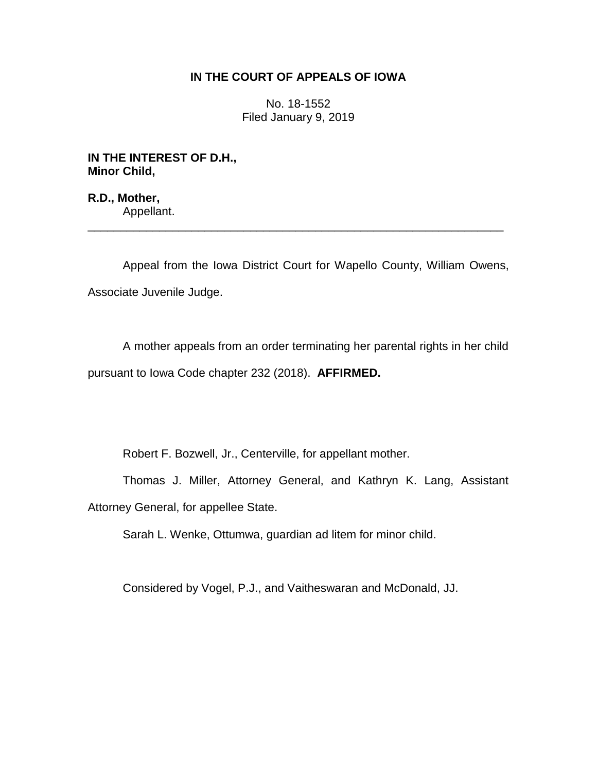## **IN THE COURT OF APPEALS OF IOWA**

No. 18-1552 Filed January 9, 2019

**IN THE INTEREST OF D.H., Minor Child,**

**R.D., Mother,** Appellant.

Appeal from the Iowa District Court for Wapello County, William Owens, Associate Juvenile Judge.

\_\_\_\_\_\_\_\_\_\_\_\_\_\_\_\_\_\_\_\_\_\_\_\_\_\_\_\_\_\_\_\_\_\_\_\_\_\_\_\_\_\_\_\_\_\_\_\_\_\_\_\_\_\_\_\_\_\_\_\_\_\_\_\_

A mother appeals from an order terminating her parental rights in her child pursuant to Iowa Code chapter 232 (2018). **AFFIRMED.**

Robert F. Bozwell, Jr., Centerville, for appellant mother.

Thomas J. Miller, Attorney General, and Kathryn K. Lang, Assistant Attorney General, for appellee State.

Sarah L. Wenke, Ottumwa, guardian ad litem for minor child.

Considered by Vogel, P.J., and Vaitheswaran and McDonald, JJ.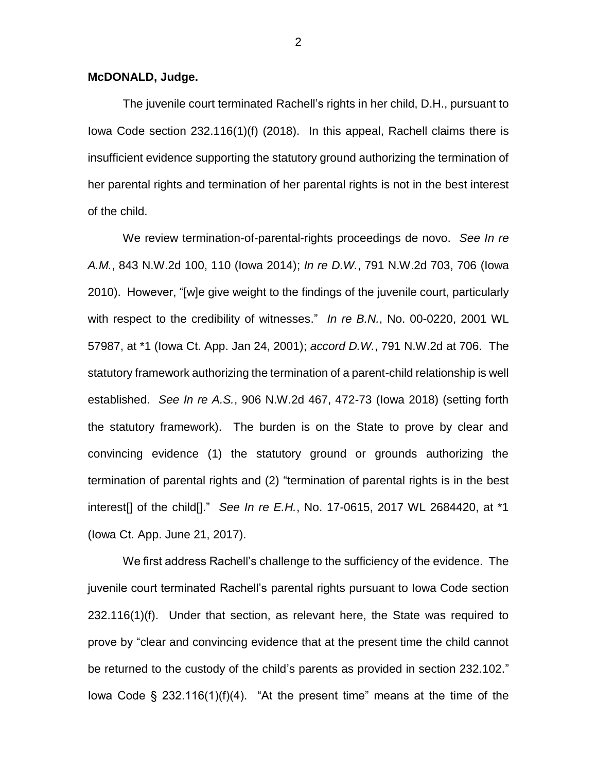## **McDONALD, Judge.**

The juvenile court terminated Rachell's rights in her child, D.H., pursuant to Iowa Code section 232.116(1)(f) (2018). In this appeal, Rachell claims there is insufficient evidence supporting the statutory ground authorizing the termination of her parental rights and termination of her parental rights is not in the best interest of the child.

We review termination-of-parental-rights proceedings de novo. *See In re A.M.*, 843 N.W.2d 100, 110 (Iowa 2014); *In re D.W.*, 791 N.W.2d 703, 706 (Iowa 2010). However, "[w]e give weight to the findings of the juvenile court, particularly with respect to the credibility of witnesses." *In re B.N.*, No. 00-0220, 2001 WL 57987, at \*1 (Iowa Ct. App. Jan 24, 2001); *accord D.W.*, 791 N.W.2d at 706. The statutory framework authorizing the termination of a parent-child relationship is well established. *See In re A.S.*, 906 N.W.2d 467, 472-73 (Iowa 2018) (setting forth the statutory framework). The burden is on the State to prove by clear and convincing evidence (1) the statutory ground or grounds authorizing the termination of parental rights and (2) "termination of parental rights is in the best interest[] of the child[]." *See In re E.H.*, No. 17-0615, 2017 WL 2684420, at \*1 (Iowa Ct. App. June 21, 2017).

We first address Rachell's challenge to the sufficiency of the evidence. The juvenile court terminated Rachell's parental rights pursuant to Iowa Code section 232.116(1)(f). Under that section, as relevant here, the State was required to prove by "clear and convincing evidence that at the present time the child cannot be returned to the custody of the child's parents as provided in section 232.102." Iowa Code  $\S$  232.116(1)(f)(4). "At the present time" means at the time of the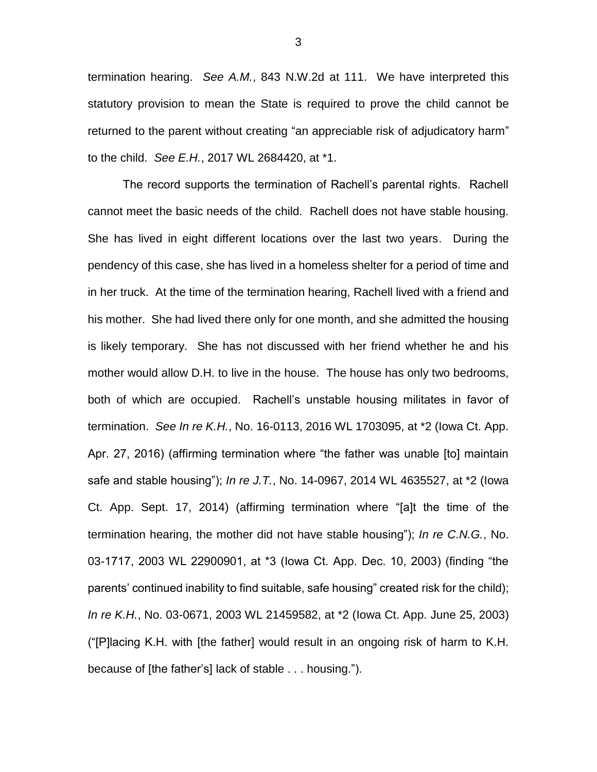termination hearing. *See A.M.*, 843 N.W.2d at 111. We have interpreted this statutory provision to mean the State is required to prove the child cannot be returned to the parent without creating "an appreciable risk of adjudicatory harm" to the child. *See E.H.*, 2017 WL 2684420, at \*1.

The record supports the termination of Rachell's parental rights. Rachell cannot meet the basic needs of the child. Rachell does not have stable housing. She has lived in eight different locations over the last two years. During the pendency of this case, she has lived in a homeless shelter for a period of time and in her truck. At the time of the termination hearing, Rachell lived with a friend and his mother. She had lived there only for one month, and she admitted the housing is likely temporary. She has not discussed with her friend whether he and his mother would allow D.H. to live in the house. The house has only two bedrooms, both of which are occupied. Rachell's unstable housing militates in favor of termination. *See In re K.H.*, No. 16-0113, 2016 WL 1703095, at \*2 (Iowa Ct. App. Apr. 27, 2016) (affirming termination where "the father was unable [to] maintain safe and stable housing"); *In re J.T.*, No. 14-0967, 2014 WL 4635527, at \*2 (Iowa Ct. App. Sept. 17, 2014) (affirming termination where "[a]t the time of the termination hearing, the mother did not have stable housing"); *In re C.N.G.*, No. 03-1717, 2003 WL 22900901, at \*3 (Iowa Ct. App. Dec. 10, 2003) (finding "the parents' continued inability to find suitable, safe housing" created risk for the child); *In re K.H.*, No. 03-0671, 2003 WL 21459582, at \*2 (Iowa Ct. App. June 25, 2003) ("[P]lacing K.H. with [the father] would result in an ongoing risk of harm to K.H. because of [the father's] lack of stable . . . housing.").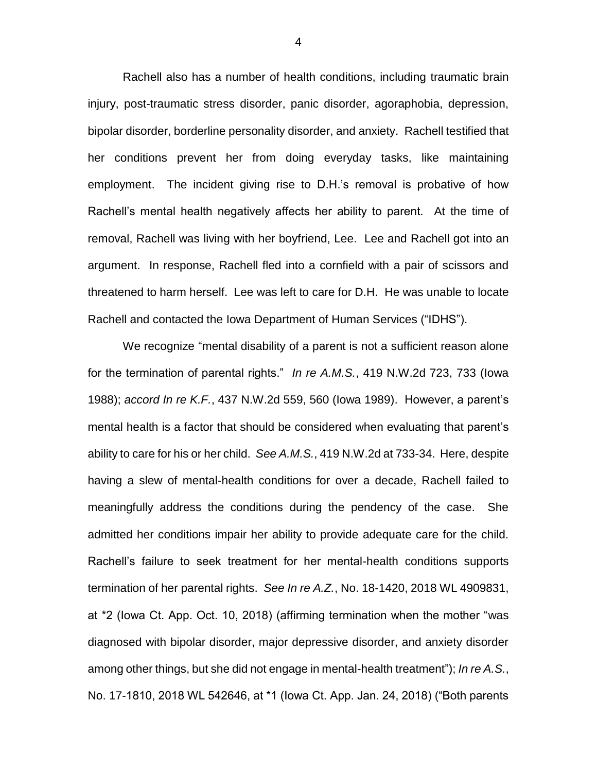Rachell also has a number of health conditions, including traumatic brain injury, post-traumatic stress disorder, panic disorder, agoraphobia, depression, bipolar disorder, borderline personality disorder, and anxiety. Rachell testified that her conditions prevent her from doing everyday tasks, like maintaining employment. The incident giving rise to D.H.'s removal is probative of how Rachell's mental health negatively affects her ability to parent. At the time of removal, Rachell was living with her boyfriend, Lee. Lee and Rachell got into an argument. In response, Rachell fled into a cornfield with a pair of scissors and threatened to harm herself. Lee was left to care for D.H. He was unable to locate Rachell and contacted the Iowa Department of Human Services ("IDHS").

We recognize "mental disability of a parent is not a sufficient reason alone for the termination of parental rights." *In re A.M.S.*, 419 N.W.2d 723, 733 (Iowa 1988); *accord In re K.F.*, 437 N.W.2d 559, 560 (Iowa 1989). However, a parent's mental health is a factor that should be considered when evaluating that parent's ability to care for his or her child. *See A.M.S.*, 419 N.W.2d at 733-34. Here, despite having a slew of mental-health conditions for over a decade, Rachell failed to meaningfully address the conditions during the pendency of the case. She admitted her conditions impair her ability to provide adequate care for the child. Rachell's failure to seek treatment for her mental-health conditions supports termination of her parental rights. *See In re A.Z.*, No. 18-1420, 2018 WL 4909831, at \*2 (Iowa Ct. App. Oct. 10, 2018) (affirming termination when the mother "was diagnosed with bipolar disorder, major depressive disorder, and anxiety disorder among other things, but she did not engage in mental-health treatment"); *In re A.S.*, No. 17-1810, 2018 WL 542646, at \*1 (Iowa Ct. App. Jan. 24, 2018) ("Both parents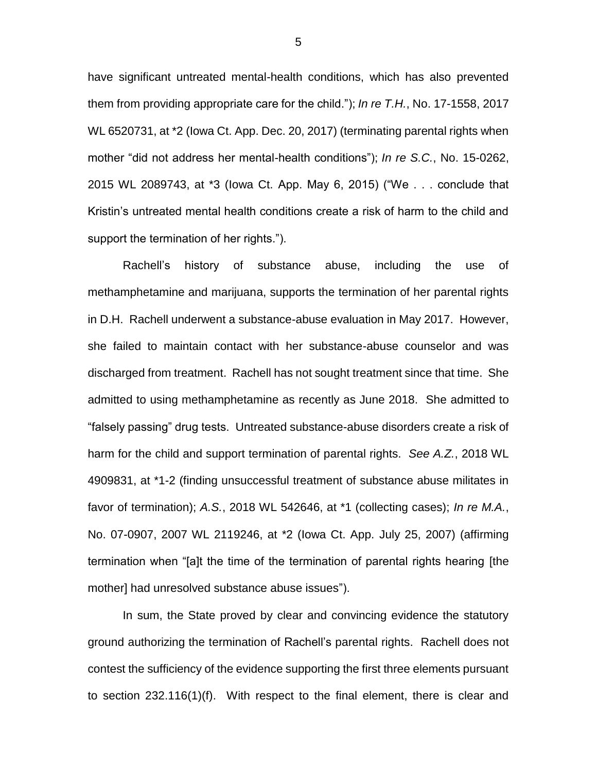have significant untreated mental-health conditions, which has also prevented them from providing appropriate care for the child."); *In re T.H.*, No. 17-1558, 2017 WL 6520731, at \*2 (Iowa Ct. App. Dec. 20, 2017) (terminating parental rights when mother "did not address her mental-health conditions"); *In re S.C.*, No. 15-0262, 2015 WL 2089743, at \*3 (Iowa Ct. App. May 6, 2015) ("We . . . conclude that Kristin's untreated mental health conditions create a risk of harm to the child and support the termination of her rights.").

Rachell's history of substance abuse, including the use of methamphetamine and marijuana, supports the termination of her parental rights in D.H. Rachell underwent a substance-abuse evaluation in May 2017. However, she failed to maintain contact with her substance-abuse counselor and was discharged from treatment. Rachell has not sought treatment since that time. She admitted to using methamphetamine as recently as June 2018. She admitted to "falsely passing" drug tests. Untreated substance-abuse disorders create a risk of harm for the child and support termination of parental rights. *See A.Z.*, 2018 WL 4909831, at \*1-2 (finding unsuccessful treatment of substance abuse militates in favor of termination); *A.S.*, 2018 WL 542646, at \*1 (collecting cases); *In re M.A.*, No. 07-0907, 2007 WL 2119246, at \*2 (Iowa Ct. App. July 25, 2007) (affirming termination when "[a]t the time of the termination of parental rights hearing [the mother] had unresolved substance abuse issues").

In sum, the State proved by clear and convincing evidence the statutory ground authorizing the termination of Rachell's parental rights. Rachell does not contest the sufficiency of the evidence supporting the first three elements pursuant to section 232.116(1)(f). With respect to the final element, there is clear and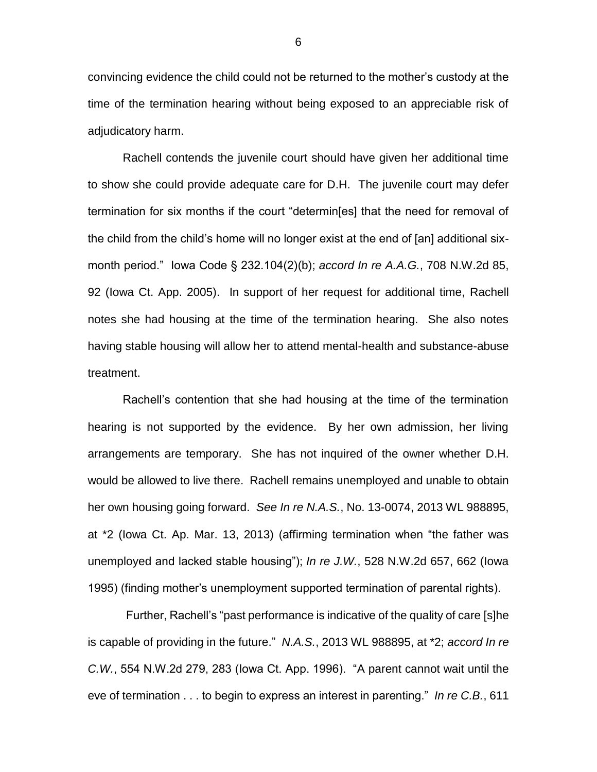convincing evidence the child could not be returned to the mother's custody at the time of the termination hearing without being exposed to an appreciable risk of adjudicatory harm.

Rachell contends the juvenile court should have given her additional time to show she could provide adequate care for D.H. The juvenile court may defer termination for six months if the court "determin[es] that the need for removal of the child from the child's home will no longer exist at the end of [an] additional sixmonth period." Iowa Code § 232.104(2)(b); *accord In re A.A.G.*, 708 N.W.2d 85, 92 (Iowa Ct. App. 2005). In support of her request for additional time, Rachell notes she had housing at the time of the termination hearing. She also notes having stable housing will allow her to attend mental-health and substance-abuse treatment.

Rachell's contention that she had housing at the time of the termination hearing is not supported by the evidence. By her own admission, her living arrangements are temporary. She has not inquired of the owner whether D.H. would be allowed to live there. Rachell remains unemployed and unable to obtain her own housing going forward. *See In re N.A.S.*, No. 13-0074, 2013 WL 988895, at \*2 (Iowa Ct. Ap. Mar. 13, 2013) (affirming termination when "the father was unemployed and lacked stable housing"); *In re J.W.*, 528 N.W.2d 657, 662 (Iowa 1995) (finding mother's unemployment supported termination of parental rights).

Further, Rachell's "past performance is indicative of the quality of care [s]he is capable of providing in the future." *N.A.S.*, 2013 WL 988895, at \*2; *accord In re C.W.*, 554 N.W.2d 279, 283 (Iowa Ct. App. 1996). "A parent cannot wait until the eve of termination . . . to begin to express an interest in parenting." *In re C.B.*, 611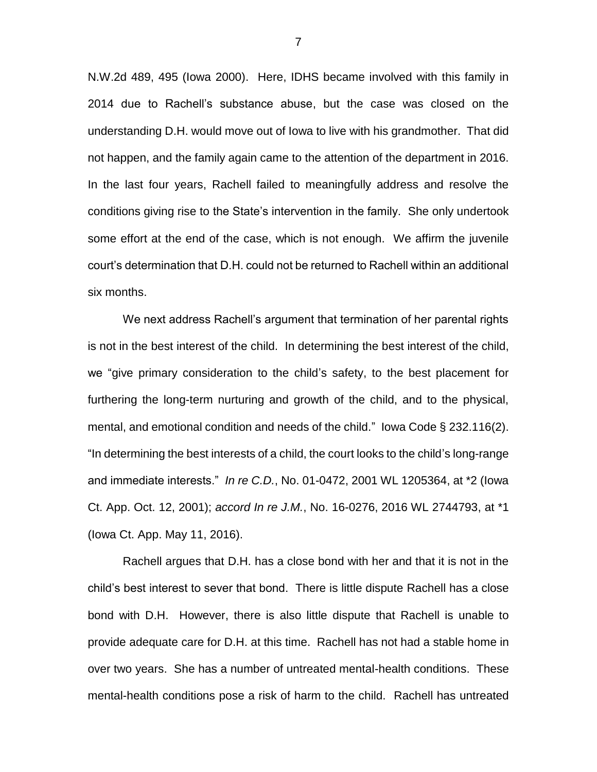N.W.2d 489, 495 (Iowa 2000). Here, IDHS became involved with this family in 2014 due to Rachell's substance abuse, but the case was closed on the understanding D.H. would move out of Iowa to live with his grandmother. That did not happen, and the family again came to the attention of the department in 2016. In the last four years, Rachell failed to meaningfully address and resolve the conditions giving rise to the State's intervention in the family. She only undertook some effort at the end of the case, which is not enough. We affirm the juvenile court's determination that D.H. could not be returned to Rachell within an additional six months.

We next address Rachell's argument that termination of her parental rights is not in the best interest of the child. In determining the best interest of the child, we "give primary consideration to the child's safety, to the best placement for furthering the long-term nurturing and growth of the child, and to the physical, mental, and emotional condition and needs of the child." Iowa Code § 232.116(2). "In determining the best interests of a child, the court looks to the child's long-range and immediate interests." *In re C.D.*, No. 01-0472, 2001 WL 1205364, at \*2 (Iowa Ct. App. Oct. 12, 2001); *accord In re J.M.*, No. 16-0276, 2016 WL 2744793, at \*1 (Iowa Ct. App. May 11, 2016).

Rachell argues that D.H. has a close bond with her and that it is not in the child's best interest to sever that bond. There is little dispute Rachell has a close bond with D.H. However, there is also little dispute that Rachell is unable to provide adequate care for D.H. at this time. Rachell has not had a stable home in over two years. She has a number of untreated mental-health conditions. These mental-health conditions pose a risk of harm to the child. Rachell has untreated